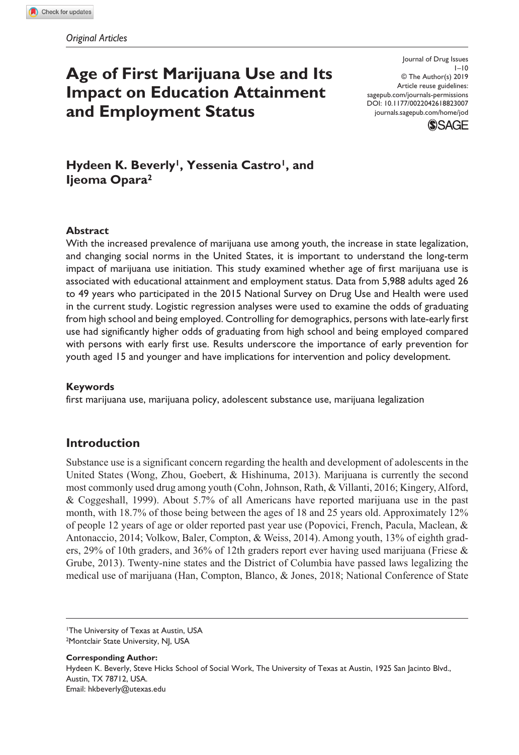# **Age of First Marijuana Use and Its Impact on Education Attainment and Employment Status**

DOI: 10.1177/0022042618823007 Journal of Drug Issues  $1 - 10$ © The Author(s) 2019 Article reuse guidelines: [sagepub.com/journals-permissions](https://us.sagepub.com/en-us/journals-permissions) [journals.sagepub.com/home/jod](http://journals.sagepub.com/home/jod)



Hydeen K. Beverly<sup>1</sup>, Yessenia Castro<sup>1</sup>, and **Ijeoma Opara2**

## **Abstract**

With the increased prevalence of marijuana use among youth, the increase in state legalization, and changing social norms in the United States, it is important to understand the long-term impact of marijuana use initiation. This study examined whether age of first marijuana use is associated with educational attainment and employment status. Data from 5,988 adults aged 26 to 49 years who participated in the 2015 National Survey on Drug Use and Health were used in the current study. Logistic regression analyses were used to examine the odds of graduating from high school and being employed. Controlling for demographics, persons with late-early first use had significantly higher odds of graduating from high school and being employed compared with persons with early first use. Results underscore the importance of early prevention for youth aged 15 and younger and have implications for intervention and policy development.

#### **Keywords**

first marijuana use, marijuana policy, adolescent substance use, marijuana legalization

## **Introduction**

Substance use is a significant concern regarding the health and development of adolescents in the United States (Wong, Zhou, Goebert, & Hishinuma, 2013). Marijuana is currently the second most commonly used drug among youth (Cohn, Johnson, Rath, & Villanti, 2016; Kingery, Alford, & Coggeshall, 1999). About 5.7% of all Americans have reported marijuana use in the past month, with 18.7% of those being between the ages of 18 and 25 years old. Approximately 12% of people 12 years of age or older reported past year use (Popovici, French, Pacula, Maclean, & Antonaccio, 2014; Volkow, Baler, Compton, & Weiss, 2014). Among youth, 13% of eighth graders, 29% of 10th graders, and 36% of 12th graders report ever having used marijuana (Friese  $\&$ Grube, 2013). Twenty-nine states and the District of Columbia have passed laws legalizing the medical use of marijuana (Han, Compton, Blanco, & Jones, 2018; National Conference of State

**Corresponding Author:** Hydeen K. Beverly, Steve Hicks School of Social Work, The University of Texas at Austin, 1925 San Jacinto Blvd., Austin, TX 78712, USA. Email: hkbeverly@utexas.edu

<sup>1</sup>The University of Texas at Austin, USA 2Montclair State University, NJ, USA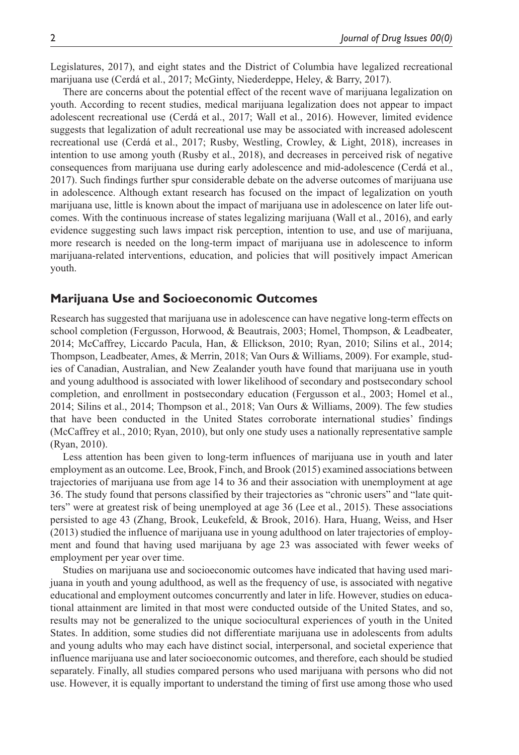Legislatures, 2017), and eight states and the District of Columbia have legalized recreational marijuana use (Cerdá et al., 2017; McGinty, Niederdeppe, Heley, & Barry, 2017).

There are concerns about the potential effect of the recent wave of marijuana legalization on youth. According to recent studies, medical marijuana legalization does not appear to impact adolescent recreational use (Cerdá et al., 2017; Wall et al., 2016). However, limited evidence suggests that legalization of adult recreational use may be associated with increased adolescent recreational use (Cerdá et al., 2017; Rusby, Westling, Crowley, & Light, 2018), increases in intention to use among youth (Rusby et al., 2018), and decreases in perceived risk of negative consequences from marijuana use during early adolescence and mid-adolescence (Cerdá et al., 2017). Such findings further spur considerable debate on the adverse outcomes of marijuana use in adolescence. Although extant research has focused on the impact of legalization on youth marijuana use, little is known about the impact of marijuana use in adolescence on later life outcomes. With the continuous increase of states legalizing marijuana (Wall et al., 2016), and early evidence suggesting such laws impact risk perception, intention to use, and use of marijuana, more research is needed on the long-term impact of marijuana use in adolescence to inform marijuana-related interventions, education, and policies that will positively impact American youth.

## **Marijuana Use and Socioeconomic Outcomes**

Research has suggested that marijuana use in adolescence can have negative long-term effects on school completion (Fergusson, Horwood, & Beautrais, 2003; Homel, Thompson, & Leadbeater, 2014; McCaffrey, Liccardo Pacula, Han, & Ellickson, 2010; Ryan, 2010; Silins et al., 2014; Thompson, Leadbeater, Ames, & Merrin, 2018; Van Ours & Williams, 2009). For example, studies of Canadian, Australian, and New Zealander youth have found that marijuana use in youth and young adulthood is associated with lower likelihood of secondary and postsecondary school completion, and enrollment in postsecondary education (Fergusson et al., 2003; Homel et al., 2014; Silins et al., 2014; Thompson et al., 2018; Van Ours & Williams, 2009). The few studies that have been conducted in the United States corroborate international studies' findings (McCaffrey et al., 2010; Ryan, 2010), but only one study uses a nationally representative sample (Ryan, 2010).

Less attention has been given to long-term influences of marijuana use in youth and later employment as an outcome. Lee, Brook, Finch, and Brook (2015) examined associations between trajectories of marijuana use from age 14 to 36 and their association with unemployment at age 36. The study found that persons classified by their trajectories as "chronic users" and "late quitters" were at greatest risk of being unemployed at age 36 (Lee et al., 2015). These associations persisted to age 43 (Zhang, Brook, Leukefeld, & Brook, 2016). Hara, Huang, Weiss, and Hser (2013) studied the influence of marijuana use in young adulthood on later trajectories of employment and found that having used marijuana by age 23 was associated with fewer weeks of employment per year over time.

Studies on marijuana use and socioeconomic outcomes have indicated that having used marijuana in youth and young adulthood, as well as the frequency of use, is associated with negative educational and employment outcomes concurrently and later in life. However, studies on educational attainment are limited in that most were conducted outside of the United States, and so, results may not be generalized to the unique sociocultural experiences of youth in the United States. In addition, some studies did not differentiate marijuana use in adolescents from adults and young adults who may each have distinct social, interpersonal, and societal experience that influence marijuana use and later socioeconomic outcomes, and therefore, each should be studied separately. Finally, all studies compared persons who used marijuana with persons who did not use. However, it is equally important to understand the timing of first use among those who used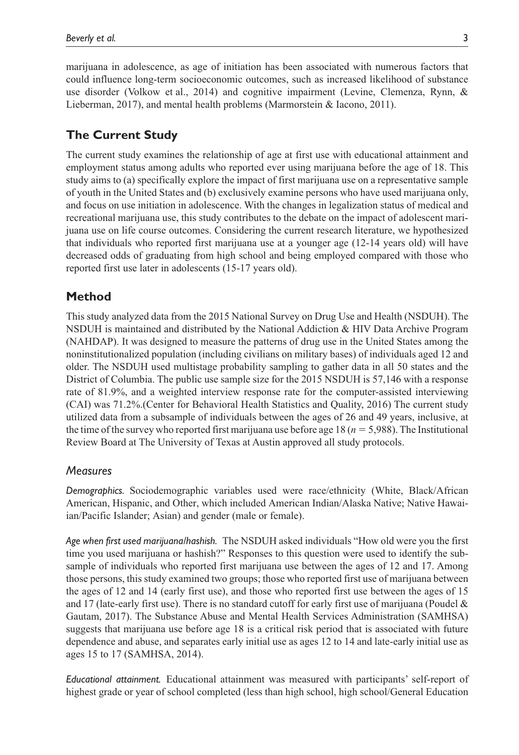marijuana in adolescence, as age of initiation has been associated with numerous factors that could influence long-term socioeconomic outcomes, such as increased likelihood of substance use disorder (Volkow et al., 2014) and cognitive impairment (Levine, Clemenza, Rynn, & Lieberman, 2017), and mental health problems (Marmorstein & Iacono, 2011).

## **The Current Study**

The current study examines the relationship of age at first use with educational attainment and employment status among adults who reported ever using marijuana before the age of 18. This study aims to (a) specifically explore the impact of first marijuana use on a representative sample of youth in the United States and (b) exclusively examine persons who have used marijuana only, and focus on use initiation in adolescence. With the changes in legalization status of medical and recreational marijuana use, this study contributes to the debate on the impact of adolescent marijuana use on life course outcomes. Considering the current research literature, we hypothesized that individuals who reported first marijuana use at a younger age (12-14 years old) will have decreased odds of graduating from high school and being employed compared with those who reported first use later in adolescents (15-17 years old).

## **Method**

This study analyzed data from the 2015 National Survey on Drug Use and Health (NSDUH). The NSDUH is maintained and distributed by the National Addiction & HIV Data Archive Program (NAHDAP). It was designed to measure the patterns of drug use in the United States among the noninstitutionalized population (including civilians on military bases) of individuals aged 12 and older. The NSDUH used multistage probability sampling to gather data in all 50 states and the District of Columbia. The public use sample size for the 2015 NSDUH is 57,146 with a response rate of 81.9%, and a weighted interview response rate for the computer-assisted interviewing (CAI) was 71.2%.(Center for Behavioral Health Statistics and Quality, 2016) The current study utilized data from a subsample of individuals between the ages of 26 and 49 years, inclusive, at the time of the survey who reported first marijuana use before age 18 (*n* = 5,988). The Institutional Review Board at The University of Texas at Austin approved all study protocols.

## *Measures*

*Demographics.* Sociodemographic variables used were race/ethnicity (White, Black/African American, Hispanic, and Other, which included American Indian/Alaska Native; Native Hawaiian/Pacific Islander; Asian) and gender (male or female).

*Age when first used marijuana/hashish.* The NSDUH asked individuals "How old were you the first time you used marijuana or hashish?" Responses to this question were used to identify the subsample of individuals who reported first marijuana use between the ages of 12 and 17. Among those persons, this study examined two groups; those who reported first use of marijuana between the ages of 12 and 14 (early first use), and those who reported first use between the ages of 15 and 17 (late-early first use). There is no standard cutoff for early first use of marijuana (Poudel  $\&$ Gautam, 2017). The Substance Abuse and Mental Health Services Administration (SAMHSA) suggests that marijuana use before age 18 is a critical risk period that is associated with future dependence and abuse, and separates early initial use as ages 12 to 14 and late-early initial use as ages 15 to 17 (SAMHSA, 2014).

*Educational attainment.* Educational attainment was measured with participants' self-report of highest grade or year of school completed (less than high school, high school/General Education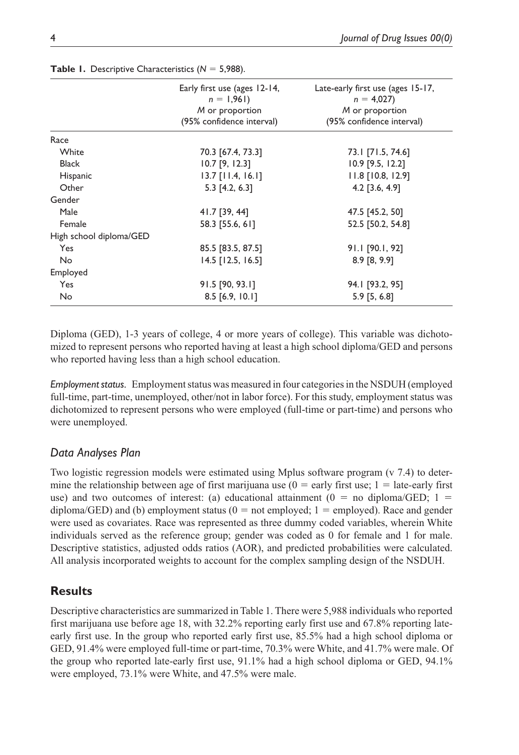|                         | Early first use (ages 12-14,<br>$n = 1,961$ | Late-early first use (ages 15-17,<br>$n = 4,027$ |  |
|-------------------------|---------------------------------------------|--------------------------------------------------|--|
|                         | M or proportion                             | M or proportion                                  |  |
|                         | (95% confidence interval)                   | (95% confidence interval)                        |  |
| Race                    |                                             |                                                  |  |
| White                   | 70.3 [67.4, 73.3]                           | 73.1 [71.5, 74.6]                                |  |
| <b>Black</b>            | $10.7$ [9, 12.3]                            | 10.9 [9.5, 12.2]                                 |  |
| Hispanic                | $13.7$ [11.4, 16.1]                         | 11.8 [10.8, 12.9]                                |  |
| Other                   | $5.3$ [4.2, 6.3]                            | 4.2 $[3.6, 4.9]$                                 |  |
| Gender                  |                                             |                                                  |  |
| Male                    | 41.7 [39, 44]                               | 47.5 [45.2, 50]                                  |  |
| Female                  | 58.3 [55.6, 61]                             | 52.5 [50.2, 54.8]                                |  |
| High school diploma/GED |                                             |                                                  |  |
| Yes                     | 85.5 [83.5, 87.5]                           | 91.1 [90.1, 92]                                  |  |
| No                      | $14.5$ [12.5, 16.5]                         | $8.9$ [8, 9.9]                                   |  |
| Employed                |                                             |                                                  |  |
| Yes                     | 91.5 [90, 93.1]                             | 94.1 [93.2, 95]                                  |  |
| No                      | 8.5 [6.9, 10.1]                             | $5.9$ [5, 6.8]                                   |  |

**Table 1.** Descriptive Characteristics (*N* = 5,988).

Diploma (GED), 1-3 years of college, 4 or more years of college). This variable was dichotomized to represent persons who reported having at least a high school diploma/GED and persons who reported having less than a high school education.

*Employment status.* Employment status was measured in four categories in the NSDUH (employed full-time, part-time, unemployed, other/not in labor force). For this study, employment status was dichotomized to represent persons who were employed (full-time or part-time) and persons who were unemployed.

## *Data Analyses Plan*

Two logistic regression models were estimated using Mplus software program (v 7.4) to determine the relationship between age of first marijuana use (0 = early first use; 1 = late*-*early first use) and two outcomes of interest: (a) educational attainment ( $0 =$  no diploma/GED;  $1 =$ diploma/GED) and (b) employment status  $(0 = not$  employed;  $1 =$  employed). Race and gender were used as covariates. Race was represented as three dummy coded variables, wherein White individuals served as the reference group; gender was coded as 0 for female and 1 for male. Descriptive statistics, adjusted odds ratios (AOR), and predicted probabilities were calculated. All analysis incorporated weights to account for the complex sampling design of the NSDUH.

## **Results**

Descriptive characteristics are summarized in Table 1. There were 5,988 individuals who reported first marijuana use before age 18, with 32.2% reporting early first use and 67.8% reporting lateearly first use. In the group who reported early first use, 85.5% had a high school diploma or GED, 91.4% were employed full-time or part-time, 70.3% were White, and 41.7% were male. Of the group who reported late-early first use, 91.1% had a high school diploma or GED, 94.1% were employed, 73.1% were White, and 47.5% were male.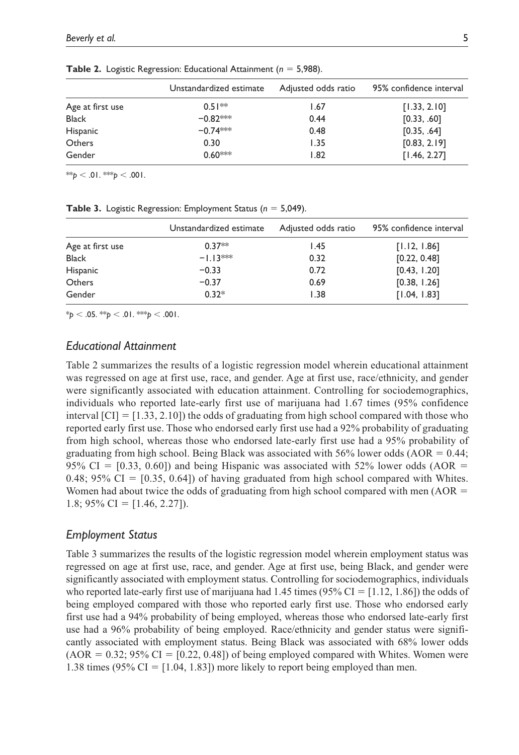|                  | Unstandardized estimate | Adjusted odds ratio | 95% confidence interval |
|------------------|-------------------------|---------------------|-------------------------|
| Age at first use | $0.51**$                | 1.67                | [1.33, 2.10]            |
| <b>Black</b>     | $-0.82***$              | 0.44                | [0.33, .60]             |
| Hispanic         | $-0.74***$              | 0.48                | [0.35, .64]             |
| Others           | 0.30                    | 1.35                | [0.83, 2.19]            |
| Gender           | $0.60***$               | 1.82                | [1.46, 2.27]            |

**Table 2.** Logistic Regression: Educational Attainment (*n* = 5,988).

 $^{**}p < 0.01$ . \*\*\* $p < 0.001$ .

**Table 3.** Logistic Regression: Employment Status (*n* = 5,049).

|                  | Unstandardized estimate | Adjusted odds ratio | 95% confidence interval |
|------------------|-------------------------|---------------------|-------------------------|
| Age at first use | $0.37**$                | 1.45                | [1.12, 1.86]            |
| <b>Black</b>     | $-1.13***$              | 0.32                | [0.22, 0.48]            |
| Hispanic         | $-0.33$                 | 0.72                | [0.43, 1.20]            |
| <b>Others</b>    | $-0.37$                 | 0.69                | [0.38, 1.26]            |
| Gender           | $0.32*$                 | 1.38                | [1.04, 1.83]            |

 $*_{p}$  < .05.  $*_{p}$  < .01.  $*_{p}$  < .001.

## *Educational Attainment*

Table 2 summarizes the results of a logistic regression model wherein educational attainment was regressed on age at first use, race, and gender. Age at first use, race/ethnicity, and gender were significantly associated with education attainment. Controlling for sociodemographics, individuals who reported late-early first use of marijuana had 1.67 times (95% confidence interval  $\text{[CI]} = [1.33, 2.10]$  the odds of graduating from high school compared with those who reported early first use. Those who endorsed early first use had a 92% probability of graduating from high school, whereas those who endorsed late-early first use had a 95% probability of graduating from high school. Being Black was associated with 56% lower odds ( $AOR = 0.44$ ; 95% CI =  $[0.33, 0.60]$  and being Hispanic was associated with 52% lower odds (AOR = 0.48; 95% CI =  $[0.35, 0.64]$  of having graduated from high school compared with Whites. Women had about twice the odds of graduating from high school compared with men  $(AOR =$ 1.8;  $95\%$  CI = [1.46, 2.27]).

#### *Employment Status*

Table 3 summarizes the results of the logistic regression model wherein employment status was regressed on age at first use, race, and gender. Age at first use, being Black, and gender were significantly associated with employment status. Controlling for sociodemographics, individuals who reported late-early first use of marijuana had 1.45 times (95% CI =  $[1.12, 1.86]$ ) the odds of being employed compared with those who reported early first use. Those who endorsed early first use had a 94% probability of being employed, whereas those who endorsed late-early first use had a 96% probability of being employed. Race/ethnicity and gender status were significantly associated with employment status. Being Black was associated with 68% lower odds  $(AOR = 0.32; 95\% CI = [0.22, 0.48])$  of being employed compared with Whites. Women were 1.38 times (95% CI =  $[1.04, 1.83]$ ) more likely to report being employed than men.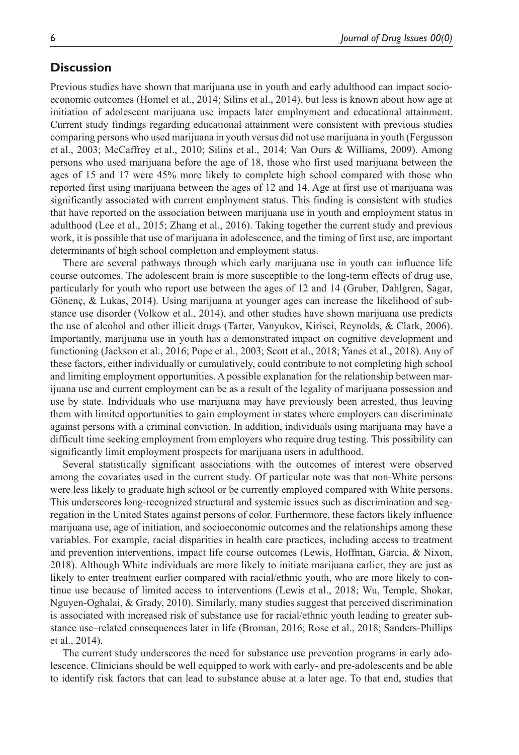## **Discussion**

Previous studies have shown that marijuana use in youth and early adulthood can impact socioeconomic outcomes (Homel et al., 2014; Silins et al., 2014), but less is known about how age at initiation of adolescent marijuana use impacts later employment and educational attainment. Current study findings regarding educational attainment were consistent with previous studies comparing persons who used marijuana in youth versus did not use marijuana in youth (Fergusson et al., 2003; McCaffrey et al., 2010; Silins et al., 2014; Van Ours & Williams, 2009). Among persons who used marijuana before the age of 18, those who first used marijuana between the ages of 15 and 17 were 45% more likely to complete high school compared with those who reported first using marijuana between the ages of 12 and 14. Age at first use of marijuana was significantly associated with current employment status. This finding is consistent with studies that have reported on the association between marijuana use in youth and employment status in adulthood (Lee et al., 2015; Zhang et al., 2016). Taking together the current study and previous work, it is possible that use of marijuana in adolescence, and the timing of first use, are important determinants of high school completion and employment status.

There are several pathways through which early marijuana use in youth can influence life course outcomes. The adolescent brain is more susceptible to the long-term effects of drug use, particularly for youth who report use between the ages of 12 and 14 (Gruber, Dahlgren, Sagar, Gönenç, & Lukas, 2014). Using marijuana at younger ages can increase the likelihood of substance use disorder (Volkow et al., 2014), and other studies have shown marijuana use predicts the use of alcohol and other illicit drugs (Tarter, Vanyukov, Kirisci, Reynolds, & Clark, 2006). Importantly, marijuana use in youth has a demonstrated impact on cognitive development and functioning (Jackson et al., 2016; Pope et al., 2003; Scott et al., 2018; Yanes et al., 2018). Any of these factors, either individually or cumulatively, could contribute to not completing high school and limiting employment opportunities. A possible explanation for the relationship between marijuana use and current employment can be as a result of the legality of marijuana possession and use by state. Individuals who use marijuana may have previously been arrested, thus leaving them with limited opportunities to gain employment in states where employers can discriminate against persons with a criminal conviction. In addition, individuals using marijuana may have a difficult time seeking employment from employers who require drug testing. This possibility can significantly limit employment prospects for marijuana users in adulthood.

Several statistically significant associations with the outcomes of interest were observed among the covariates used in the current study. Of particular note was that non-White persons were less likely to graduate high school or be currently employed compared with White persons. This underscores long-recognized structural and systemic issues such as discrimination and segregation in the United States against persons of color. Furthermore, these factors likely influence marijuana use, age of initiation, and socioeconomic outcomes and the relationships among these variables. For example, racial disparities in health care practices, including access to treatment and prevention interventions, impact life course outcomes (Lewis, Hoffman, Garcia, & Nixon, 2018). Although White individuals are more likely to initiate marijuana earlier, they are just as likely to enter treatment earlier compared with racial/ethnic youth, who are more likely to continue use because of limited access to interventions (Lewis et al., 2018; Wu, Temple, Shokar, Nguyen-Oghalai, & Grady, 2010). Similarly, many studies suggest that perceived discrimination is associated with increased risk of substance use for racial/ethnic youth leading to greater substance use–related consequences later in life (Broman, 2016; Rose et al., 2018; Sanders-Phillips et al., 2014).

The current study underscores the need for substance use prevention programs in early adolescence. Clinicians should be well equipped to work with early- and pre-adolescents and be able to identify risk factors that can lead to substance abuse at a later age. To that end, studies that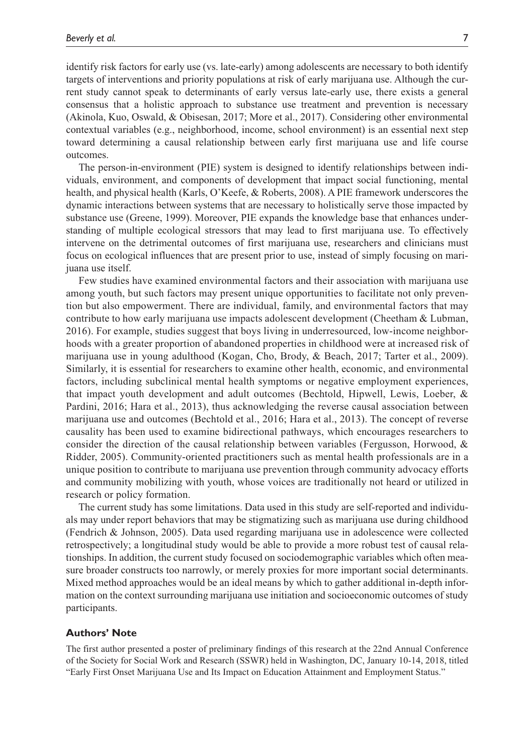identify risk factors for early use (vs. late-early) among adolescents are necessary to both identify targets of interventions and priority populations at risk of early marijuana use. Although the current study cannot speak to determinants of early versus late-early use, there exists a general consensus that a holistic approach to substance use treatment and prevention is necessary (Akinola, Kuo, Oswald, & Obisesan, 2017; More et al., 2017). Considering other environmental contextual variables (e.g., neighborhood, income, school environment) is an essential next step toward determining a causal relationship between early first marijuana use and life course outcomes.

The person-in-environment (PIE) system is designed to identify relationships between individuals, environment, and components of development that impact social functioning, mental health, and physical health (Karls, O'Keefe, & Roberts, 2008). A PIE framework underscores the dynamic interactions between systems that are necessary to holistically serve those impacted by substance use (Greene, 1999). Moreover, PIE expands the knowledge base that enhances understanding of multiple ecological stressors that may lead to first marijuana use. To effectively intervene on the detrimental outcomes of first marijuana use, researchers and clinicians must focus on ecological influences that are present prior to use, instead of simply focusing on marijuana use itself.

Few studies have examined environmental factors and their association with marijuana use among youth, but such factors may present unique opportunities to facilitate not only prevention but also empowerment. There are individual, family, and environmental factors that may contribute to how early marijuana use impacts adolescent development (Cheetham & Lubman, 2016). For example, studies suggest that boys living in underresourced, low-income neighborhoods with a greater proportion of abandoned properties in childhood were at increased risk of marijuana use in young adulthood (Kogan, Cho, Brody, & Beach, 2017; Tarter et al., 2009). Similarly, it is essential for researchers to examine other health, economic, and environmental factors, including subclinical mental health symptoms or negative employment experiences, that impact youth development and adult outcomes (Bechtold, Hipwell, Lewis, Loeber, & Pardini, 2016; Hara et al., 2013), thus acknowledging the reverse causal association between marijuana use and outcomes (Bechtold et al., 2016; Hara et al., 2013). The concept of reverse causality has been used to examine bidirectional pathways, which encourages researchers to consider the direction of the causal relationship between variables (Fergusson, Horwood,  $\&$ Ridder, 2005). Community-oriented practitioners such as mental health professionals are in a unique position to contribute to marijuana use prevention through community advocacy efforts and community mobilizing with youth, whose voices are traditionally not heard or utilized in research or policy formation.

The current study has some limitations. Data used in this study are self-reported and individuals may under report behaviors that may be stigmatizing such as marijuana use during childhood (Fendrich & Johnson, 2005). Data used regarding marijuana use in adolescence were collected retrospectively; a longitudinal study would be able to provide a more robust test of causal relationships. In addition, the current study focused on sociodemographic variables which often measure broader constructs too narrowly, or merely proxies for more important social determinants. Mixed method approaches would be an ideal means by which to gather additional in-depth information on the context surrounding marijuana use initiation and socioeconomic outcomes of study participants.

#### **Authors' Note**

The first author presented a poster of preliminary findings of this research at the 22nd Annual Conference of the Society for Social Work and Research (SSWR) held in Washington, DC, January 10-14, 2018, titled "Early First Onset Marijuana Use and Its Impact on Education Attainment and Employment Status."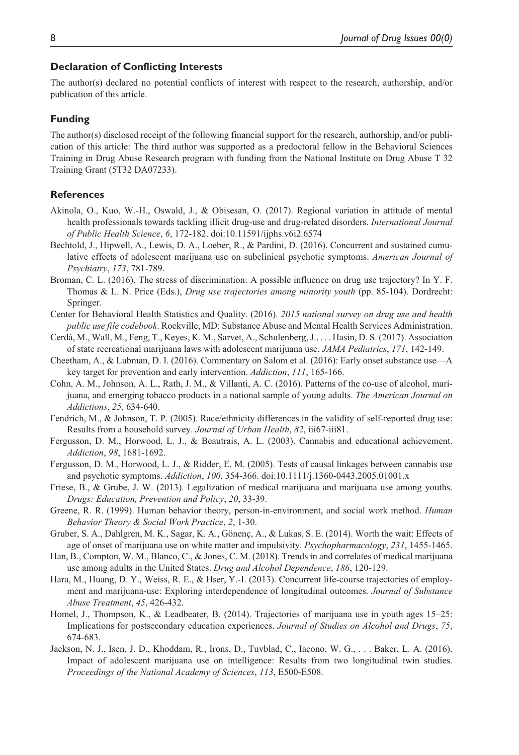#### **Declaration of Conflicting Interests**

The author(s) declared no potential conflicts of interest with respect to the research, authorship, and/or publication of this article.

#### **Funding**

The author(s) disclosed receipt of the following financial support for the research, authorship, and/or publication of this article: The third author was supported as a predoctoral fellow in the Behavioral Sciences Training in Drug Abuse Research program with funding from the National Institute on Drug Abuse T 32 Training Grant (5T32 DA07233).

#### **References**

- Akinola, O., Kuo, W.-H., Oswald, J., & Obisesan, O. (2017). Regional variation in attitude of mental health professionals towards tackling illicit drug-use and drug-related disorders. *International Journal of Public Health Science*, *6*, 172-182. doi:10.11591/ijphs.v6i2.6574
- Bechtold, J., Hipwell, A., Lewis, D. A., Loeber, R., & Pardini, D. (2016). Concurrent and sustained cumulative effects of adolescent marijuana use on subclinical psychotic symptoms. *American Journal of Psychiatry*, *173*, 781-789.
- Broman, C. L. (2016). The stress of discrimination: A possible influence on drug use trajectory? In Y. F. Thomas & L. N. Price (Eds.), *Drug use trajectories among minority youth* (pp. 85-104). Dordrecht: Springer.
- Center for Behavioral Health Statistics and Quality. (2016). *2015 national survey on drug use and health public use file codebook*. Rockville, MD: Substance Abuse and Mental Health Services Administration.
- Cerdá, M., Wall, M., Feng, T., Keyes, K. M., Sarvet, A., Schulenberg, J., . . . Hasin, D. S. (2017). Association of state recreational marijuana laws with adolescent marijuana use. *JAMA Pediatrics*, *171*, 142-149.
- Cheetham, A., & Lubman, D. I. (2016). Commentary on Salom et al. (2016): Early onset substance use—A key target for prevention and early intervention. *Addiction*, *111*, 165-166.
- Cohn, A. M., Johnson, A. L., Rath, J. M., & Villanti, A. C. (2016). Patterns of the co-use of alcohol, marijuana, and emerging tobacco products in a national sample of young adults. *The American Journal on Addictions*, *25*, 634-640.
- Fendrich, M., & Johnson, T. P. (2005). Race/ethnicity differences in the validity of self-reported drug use: Results from a household survey. *Journal of Urban Health*, *82*, iii67-iii81.
- Fergusson, D. M., Horwood, L. J., & Beautrais, A. L. (2003). Cannabis and educational achievement. *Addiction*, *98*, 1681-1692.
- Fergusson, D. M., Horwood, L. J., & Ridder, E. M. (2005). Tests of causal linkages between cannabis use and psychotic symptoms. *Addiction*, *100*, 354-366. doi:10.1111/j.1360-0443.2005.01001.x
- Friese, B., & Grube, J. W. (2013). Legalization of medical marijuana and marijuana use among youths. *Drugs: Education, Prevention and Policy*, *20*, 33-39.
- Greene, R. R. (1999). Human behavior theory, person-in-environment, and social work method. *Human Behavior Theory & Social Work Practice*, *2*, 1-30.
- Gruber, S. A., Dahlgren, M. K., Sagar, K. A., Gönenç, A., & Lukas, S. E. (2014). Worth the wait: Effects of age of onset of marijuana use on white matter and impulsivity. *Psychopharmacology*, *231*, 1455-1465.
- Han, B., Compton, W. M., Blanco, C., & Jones, C. M. (2018). Trends in and correlates of medical marijuana use among adults in the United States. *Drug and Alcohol Dependence*, *186*, 120-129.
- Hara, M., Huang, D. Y., Weiss, R. E., & Hser, Y.-I. (2013). Concurrent life-course trajectories of employment and marijuana-use: Exploring interdependence of longitudinal outcomes. *Journal of Substance Abuse Treatment*, *45*, 426-432.
- Homel, J., Thompson, K., & Leadbeater, B. (2014). Trajectories of marijuana use in youth ages 15–25: Implications for postsecondary education experiences. *Journal of Studies on Alcohol and Drugs*, *75*, 674-683.
- Jackson, N. J., Isen, J. D., Khoddam, R., Irons, D., Tuvblad, C., Iacono, W. G., . . . Baker, L. A. (2016). Impact of adolescent marijuana use on intelligence: Results from two longitudinal twin studies. *Proceedings of the National Academy of Sciences*, *113*, E500-E508.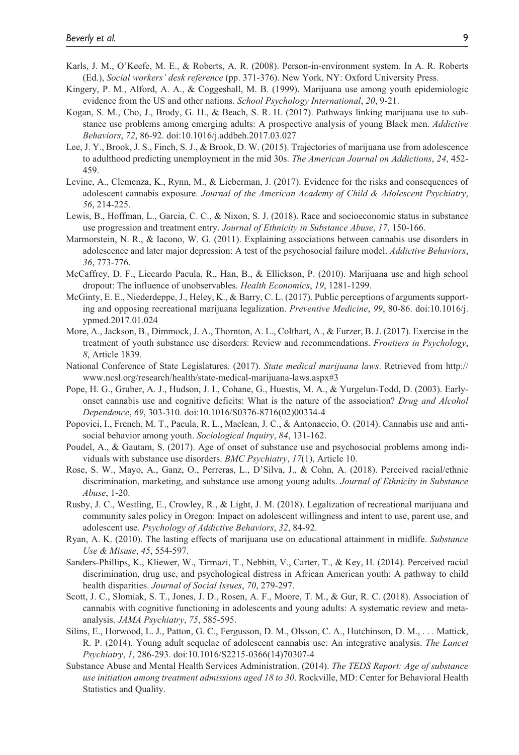- Karls, J. M., O'Keefe, M. E., & Roberts, A. R. (2008). Person-in-environment system. In A. R. Roberts (Ed.), *Social workers' desk reference* (pp. 371-376). New York, NY: Oxford University Press.
- Kingery, P. M., Alford, A. A., & Coggeshall, M. B. (1999). Marijuana use among youth epidemiologic evidence from the US and other nations. *School Psychology International*, *20*, 9-21.
- Kogan, S. M., Cho, J., Brody, G. H., & Beach, S. R. H. (2017). Pathways linking marijuana use to substance use problems among emerging adults: A prospective analysis of young Black men. *Addictive Behaviors*, *72*, 86-92. doi:10.1016/j.addbeh.2017.03.027
- Lee, J. Y., Brook, J. S., Finch, S. J., & Brook, D. W. (2015). Trajectories of marijuana use from adolescence to adulthood predicting unemployment in the mid 30s. *The American Journal on Addictions*, *24*, 452- 459.
- Levine, A., Clemenza, K., Rynn, M., & Lieberman, J. (2017). Evidence for the risks and consequences of adolescent cannabis exposure. *Journal of the American Academy of Child & Adolescent Psychiatry*, *56*, 214-225.
- Lewis, B., Hoffman, L., Garcia, C. C., & Nixon, S. J. (2018). Race and socioeconomic status in substance use progression and treatment entry. *Journal of Ethnicity in Substance Abuse*, *17*, 150-166.
- Marmorstein, N. R., & Iacono, W. G. (2011). Explaining associations between cannabis use disorders in adolescence and later major depression: A test of the psychosocial failure model. *Addictive Behaviors*, *36*, 773-776.
- McCaffrey, D. F., Liccardo Pacula, R., Han, B., & Ellickson, P. (2010). Marijuana use and high school dropout: The influence of unobservables. *Health Economics*, *19*, 1281-1299.
- McGinty, E. E., Niederdeppe, J., Heley, K., & Barry, C. L. (2017). Public perceptions of arguments supporting and opposing recreational marijuana legalization. *Preventive Medicine*, *99*, 80-86. doi:10.1016/j. ypmed.2017.01.024
- More, A., Jackson, B., Dimmock, J. A., Thornton, A. L., Colthart, A., & Furzer, B. J. (2017). Exercise in the treatment of youth substance use disorders: Review and recommendations. *Frontiers in Psychology*, *8*, Article 1839.
- National Conference of State Legislatures. (2017). *State medical marijuana laws*. Retrieved from http:// www.ncsl.org/research/health/state-medical-marijuana-laws.aspx#3
- Pope, H. G., Gruber, A. J., Hudson, J. I., Cohane, G., Huestis, M. A., & Yurgelun-Todd, D. (2003). Earlyonset cannabis use and cognitive deficits: What is the nature of the association? *Drug and Alcohol Dependence*, *69*, 303-310. doi:10.1016/S0376-8716(02)00334-4
- Popovici, I., French, M. T., Pacula, R. L., Maclean, J. C., & Antonaccio, O. (2014). Cannabis use and antisocial behavior among youth. *Sociological Inquiry*, *84*, 131-162.
- Poudel, A., & Gautam, S. (2017). Age of onset of substance use and psychosocial problems among individuals with substance use disorders. *BMC Psychiatry*, *17*(1), Article 10.
- Rose, S. W., Mayo, A., Ganz, O., Perreras, L., D'Silva, J., & Cohn, A. (2018). Perceived racial/ethnic discrimination, marketing, and substance use among young adults. *Journal of Ethnicity in Substance Abuse*, 1-20.
- Rusby, J. C., Westling, E., Crowley, R., & Light, J. M. (2018). Legalization of recreational marijuana and community sales policy in Oregon: Impact on adolescent willingness and intent to use, parent use, and adolescent use. *Psychology of Addictive Behaviors*, *32*, 84-92.
- Ryan, A. K. (2010). The lasting effects of marijuana use on educational attainment in midlife. *Substance Use & Misuse*, *45*, 554-597.
- Sanders-Phillips, K., Kliewer, W., Tirmazi, T., Nebbitt, V., Carter, T., & Key, H. (2014). Perceived racial discrimination, drug use, and psychological distress in African American youth: A pathway to child health disparities. *Journal of Social Issues*, *70*, 279-297.
- Scott, J. C., Slomiak, S. T., Jones, J. D., Rosen, A. F., Moore, T. M., & Gur, R. C. (2018). Association of cannabis with cognitive functioning in adolescents and young adults: A systematic review and metaanalysis. *JAMA Psychiatry*, *75*, 585-595.
- Silins, E., Horwood, L. J., Patton, G. C., Fergusson, D. M., Olsson, C. A., Hutchinson, D. M., . . . Mattick, R. P. (2014). Young adult sequelae of adolescent cannabis use: An integrative analysis. *The Lancet Psychiatry*, *1*, 286-293. doi:10.1016/S2215-0366(14)70307-4
- Substance Abuse and Mental Health Services Administration. (2014). *The TEDS Report: Age of substance use initiation among treatment admissions aged 18 to 30*. Rockville, MD: Center for Behavioral Health Statistics and Quality.